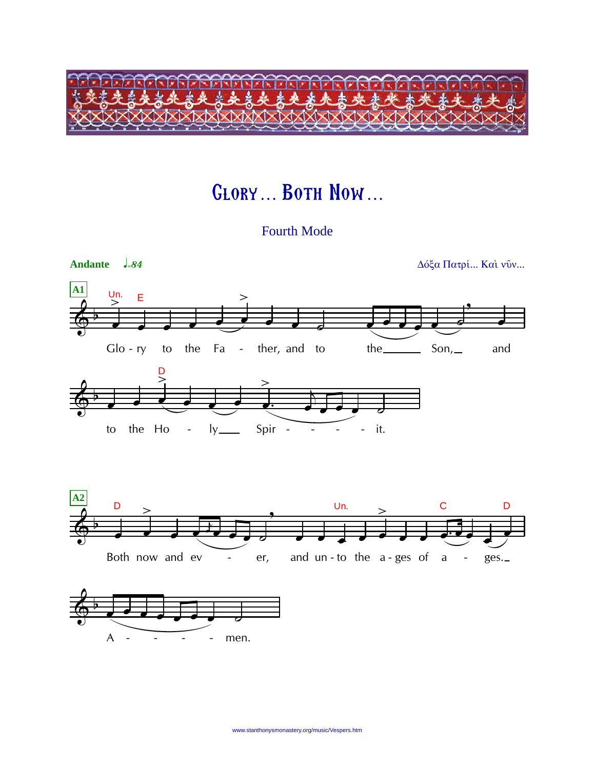

## **GLORY... BOTH NOW...**

**Fourth Mode** 

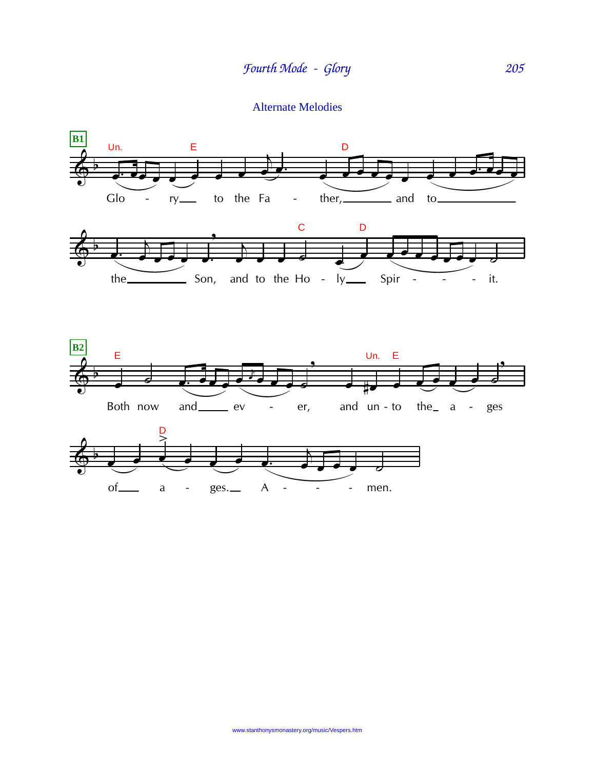Alternate Melodies